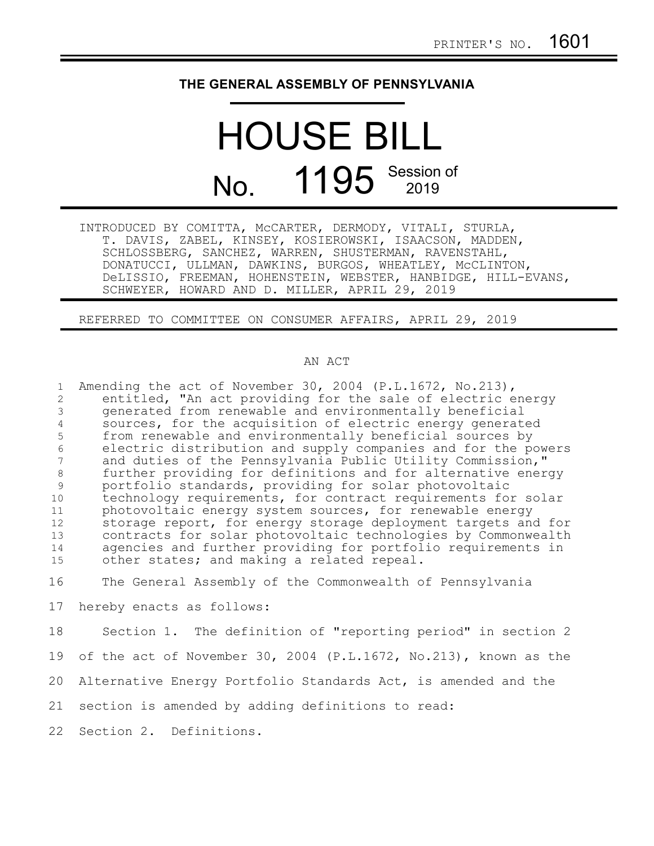## **THE GENERAL ASSEMBLY OF PENNSYLVANIA**

## HOUSE BILL No. 1195 Session of

INTRODUCED BY COMITTA, McCARTER, DERMODY, VITALI, STURLA, T. DAVIS, ZABEL, KINSEY, KOSIEROWSKI, ISAACSON, MADDEN, SCHLOSSBERG, SANCHEZ, WARREN, SHUSTERMAN, RAVENSTAHL, DONATUCCI, ULLMAN, DAWKINS, BURGOS, WHEATLEY, McCLINTON, DeLISSIO, FREEMAN, HOHENSTEIN, WEBSTER, HANBIDGE, HILL-EVANS, SCHWEYER, HOWARD AND D. MILLER, APRIL 29, 2019

REFERRED TO COMMITTEE ON CONSUMER AFFAIRS, APRIL 29, 2019

## AN ACT

| $\mathbf{1}$                | Amending the act of November 30, 2004 (P.L.1672, No.213),     |
|-----------------------------|---------------------------------------------------------------|
| $\mathcal{D}_{\mathcal{A}}$ | entitled, "An act providing for the sale of electric energy   |
|                             | generated from renewable and environmentally beneficial       |
|                             | sources, for the acquisition of electric energy generated     |
| 5                           | from renewable and environmentally beneficial sources by      |
| 6                           | electric distribution and supply companies and for the powers |
|                             | and duties of the Pennsylvania Public Utility Commission,"    |
| 8                           | further providing for definitions and for alternative energy  |
| 9                           | portfolio standards, providing for solar photovoltaic         |
| 10                          | technology requirements, for contract requirements for solar  |
| 11                          | photovoltaic energy system sources, for renewable energy      |
| 12                          | storage report, for energy storage deployment targets and for |
| 13                          | contracts for solar photovoltaic technologies by Commonwealth |
| 14                          | agencies and further providing for portfolio requirements in  |
| 15                          | other states; and making a related repeal.                    |
| 16                          | The General Assembly of the Commonwealth of Pennsylvania      |
|                             | 17 hereby enacts as follows:                                  |

Section 1. The definition of "reporting period" in section 2 18

of the act of November 30, 2004 (P.L.1672, No.213), known as the 19

Alternative Energy Portfolio Standards Act, is amended and the 20

21 section is amended by adding definitions to read:

22 Section 2. Definitions.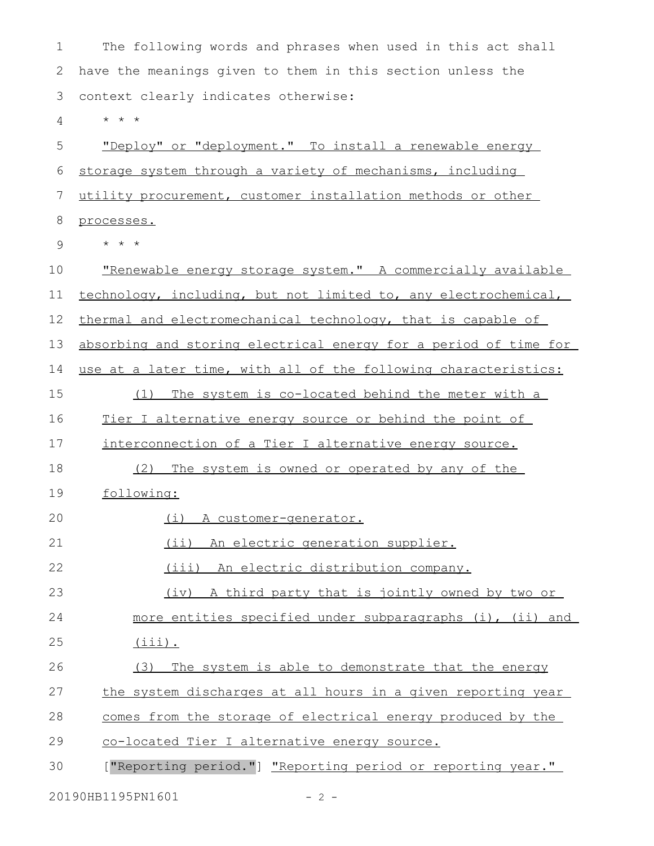The following words and phrases when used in this act shall have the meanings given to them in this section unless the context clearly indicates otherwise: \* \* \* "Deploy" or "deployment." To install a renewable energy storage system through a variety of mechanisms, including utility procurement, customer installation methods or other processes. \* \* \* "Renewable energy storage system." A commercially available technology, including, but not limited to, any electrochemical, thermal and electromechanical technology, that is capable of absorbing and storing electrical energy for a period of time for use at a later time, with all of the following characteristics: (1) The system is co-located behind the meter with a Tier I alternative energy source or behind the point of interconnection of a Tier I alternative energy source. (2) The system is owned or operated by any of the following: (i) A customer-generator. (ii) An electric generation supplier. (iii) An electric distribution company. (iv) A third party that is jointly owned by two or more entities specified under subparagraphs (i), (ii) and (iii). (3) The system is able to demonstrate that the energy the system discharges at all hours in a given reporting year comes from the storage of electrical energy produced by the co-located Tier I alternative energy source. ["Reporting period."] "Reporting period or reporting year." 1 2 3 4 5 6 7 8 9 10 11 12 13 14 15 16 17 18 19 20 21 22 23 24 25 26 27 28 29 30

20190HB1195PN1601 - 2 -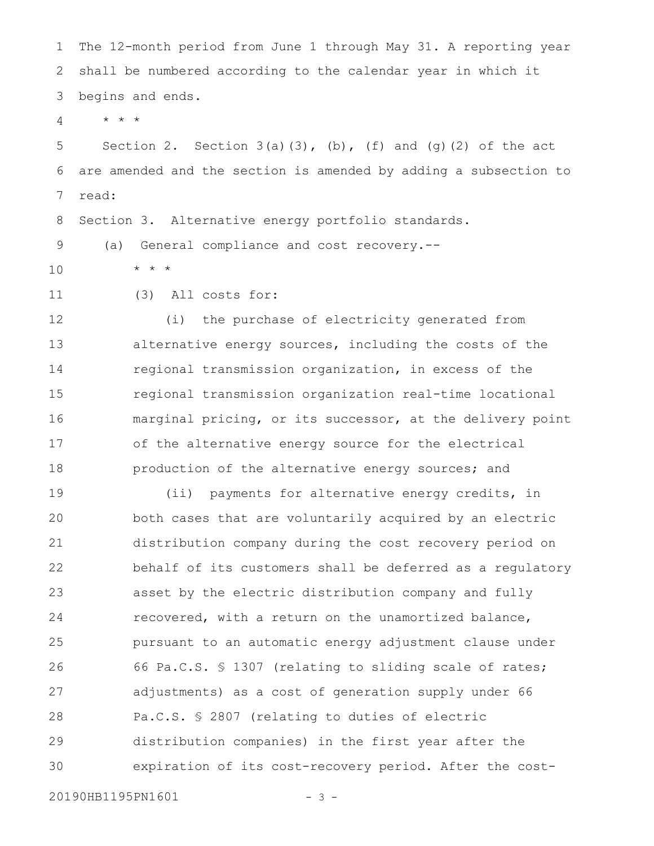The 12-month period from June 1 through May 31. A reporting year shall be numbered according to the calendar year in which it begins and ends. 1 2 3

\* \* \* 4

Section 2. Section  $3(a)(3)$ , (b), (f) and (g)(2) of the act are amended and the section is amended by adding a subsection to read: 5 6 7

Section 3. Alternative energy portfolio standards. 8

(a) General compliance and cost recovery.-- 9

10

11

(3) All costs for:

\* \* \*

(i) the purchase of electricity generated from alternative energy sources, including the costs of the regional transmission organization, in excess of the regional transmission organization real-time locational marginal pricing, or its successor, at the delivery point of the alternative energy source for the electrical production of the alternative energy sources; and 12 13 14 15 16 17 18

(ii) payments for alternative energy credits, in both cases that are voluntarily acquired by an electric distribution company during the cost recovery period on behalf of its customers shall be deferred as a regulatory asset by the electric distribution company and fully recovered, with a return on the unamortized balance, pursuant to an automatic energy adjustment clause under 66 Pa.C.S. § 1307 (relating to sliding scale of rates; adjustments) as a cost of generation supply under 66 Pa.C.S. § 2807 (relating to duties of electric distribution companies) in the first year after the expiration of its cost-recovery period. After the cost-19 20 21 22 23 24 25 26 27 28 29 30

20190HB1195PN1601 - 3 -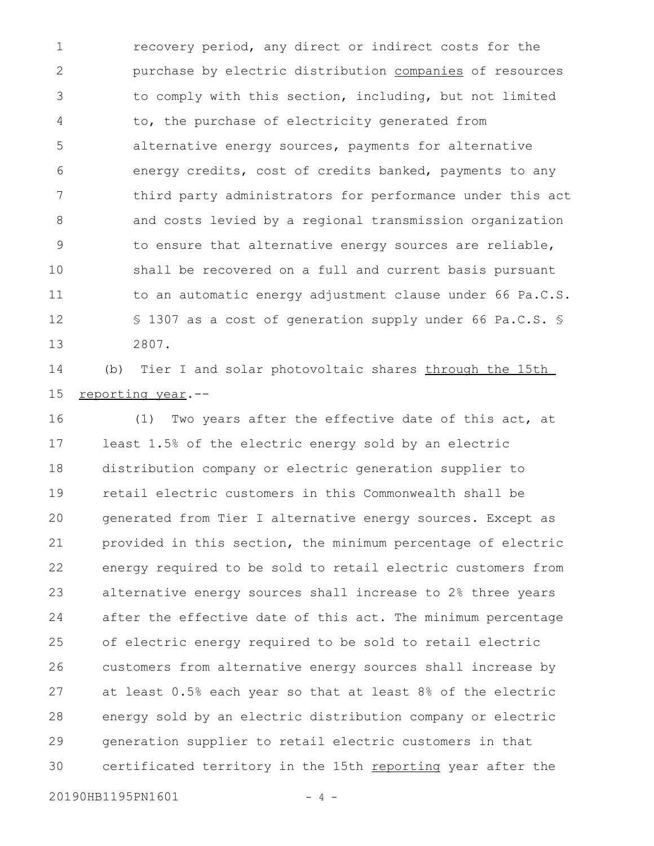recovery period, any direct or indirect costs for the purchase by electric distribution companies of resources to comply with this section, including, but not limited to, the purchase of electricity generated from alternative energy sources, payments for alternative energy credits, cost of credits banked, payments to any third party administrators for performance under this act and costs levied by a regional transmission organization to ensure that alternative energy sources are reliable, shall be recovered on a full and current basis pursuant to an automatic energy adjustment clause under 66 Pa.C.S. § 1307 as a cost of generation supply under 66 Pa.C.S. § 2807. 1 2 3 4 5 6 7 8 9 10 11 12 13

(b) Tier I and solar photovoltaic shares through the 15th reporting year.-- 14 15

(1) Two years after the effective date of this act, at least 1.5% of the electric energy sold by an electric distribution company or electric generation supplier to retail electric customers in this Commonwealth shall be generated from Tier I alternative energy sources. Except as provided in this section, the minimum percentage of electric energy required to be sold to retail electric customers from alternative energy sources shall increase to 2% three years after the effective date of this act. The minimum percentage of electric energy required to be sold to retail electric customers from alternative energy sources shall increase by at least 0.5% each year so that at least 8% of the electric energy sold by an electric distribution company or electric generation supplier to retail electric customers in that certificated territory in the 15th reporting year after the 16 17 18 19 20 21 22 23 24 25 26 27 28 29 30

20190HB1195PN1601 - 4 -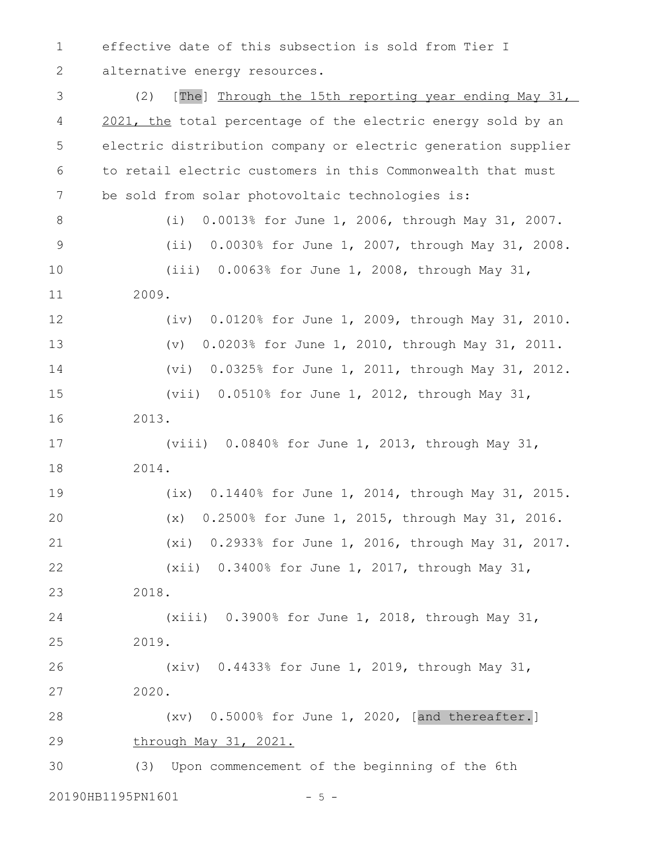effective date of this subsection is sold from Tier I alternative energy resources. 1 2

(2) [The] Through the 15th reporting year ending May 31, 2021, the total percentage of the electric energy sold by an electric distribution company or electric generation supplier to retail electric customers in this Commonwealth that must be sold from solar photovoltaic technologies is: (i) 0.0013% for June 1, 2006, through May 31, 2007. (ii) 0.0030% for June 1, 2007, through May 31, 2008. (iii) 0.0063% for June 1, 2008, through May 31, 2009. (iv) 0.0120% for June 1, 2009, through May 31, 2010. (v) 0.0203% for June 1, 2010, through May 31, 2011. (vi) 0.0325% for June 1, 2011, through May 31, 2012. (vii) 0.0510% for June 1, 2012, through May 31, 2013. (viii) 0.0840% for June 1, 2013, through May 31, 2014. (ix) 0.1440% for June 1, 2014, through May 31, 2015. (x) 0.2500% for June 1, 2015, through May 31, 2016. (xi) 0.2933% for June 1, 2016, through May 31, 2017. (xii) 0.3400% for June 1, 2017, through May 31, 2018. (xiii) 0.3900% for June 1, 2018, through May 31, 2019. (xiv) 0.4433% for June 1, 2019, through May 31, 2020. (xv) 0.5000% for June 1, 2020, [and thereafter.] through May 31, 2021. (3) Upon commencement of the beginning of the 6th 20190HB1195PN1601 - 5 -3 4 5 6 7 8 9 10 11 12 13 14 15 16 17 18 19 20 21 22 23 24 25 26 27 28 29 30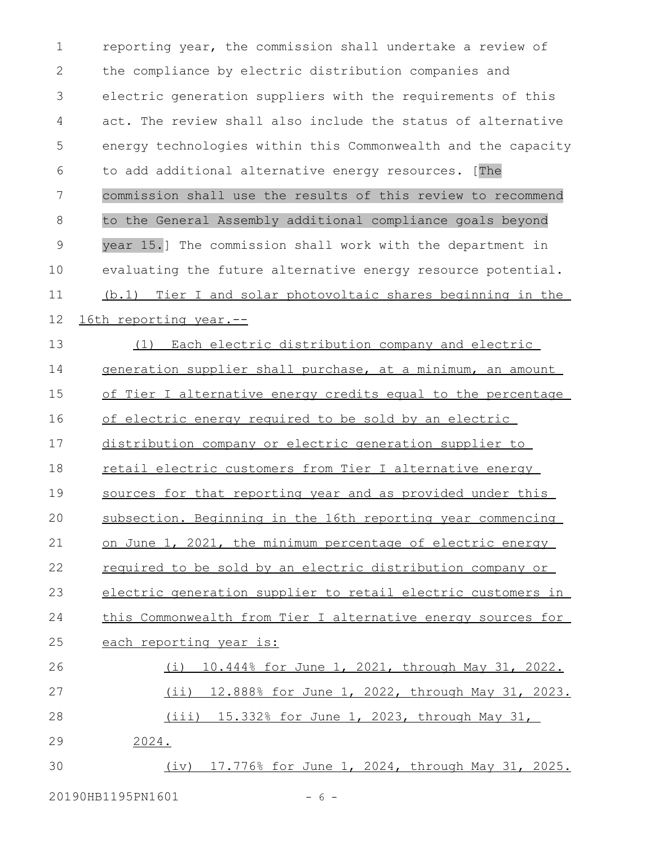reporting year, the commission shall undertake a review of the compliance by electric distribution companies and electric generation suppliers with the requirements of this act. The review shall also include the status of alternative energy technologies within this Commonwealth and the capacity to add additional alternative energy resources. [The commission shall use the results of this review to recommend to the General Assembly additional compliance goals beyond year 15.] The commission shall work with the department in evaluating the future alternative energy resource potential. (b.1) Tier I and solar photovoltaic shares beginning in the 16th reporting year.-- (1) Each electric distribution company and electric generation supplier shall purchase, at a minimum, an amount of Tier I alternative energy credits equal to the percentage of electric energy required to be sold by an electric distribution company or electric generation supplier to retail electric customers from Tier I alternative energy sources for that reporting year and as provided under this subsection. Beginning in the 16th reporting year commencing on June 1, 2021, the minimum percentage of electric energy required to be sold by an electric distribution company or electric generation supplier to retail electric customers in this Commonwealth from Tier I alternative energy sources for each reporting year is: (i) 10.444% for June 1, 2021, through May 31, 2022. (ii) 12.888% for June 1, 2022, through May 31, 2023. (iii) 15.332% for June 1, 2023, through May 31, 2024. (iv) 17.776% for June 1, 2024, through May 31, 2025. 1 2 3 4 5 6 7 8 9 10 11 12 13 14 15 16 17 18 19 20 21 22 23 24 25 26 27 28 29 30

20190HB1195PN1601 - 6 -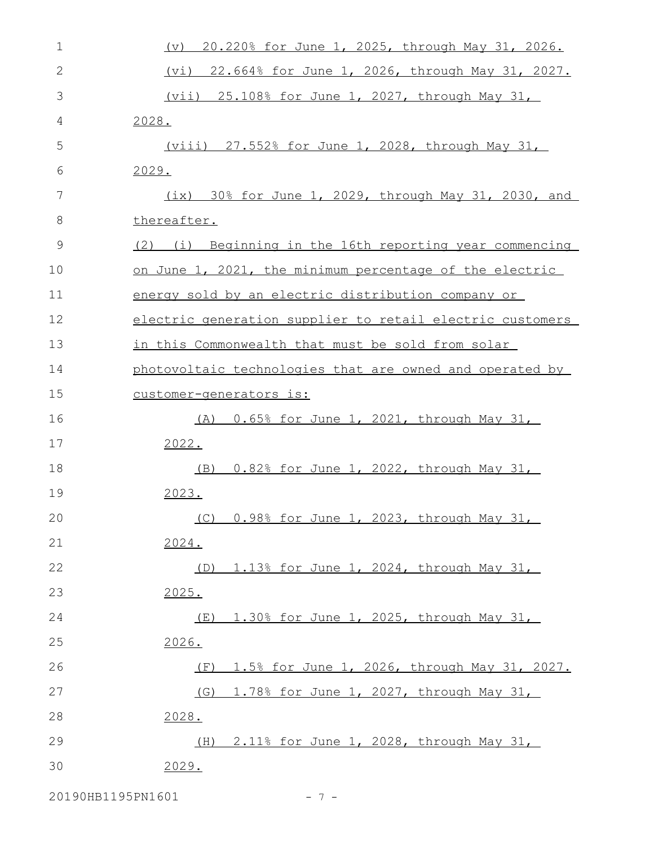| $\mathbf 1$   | 20.220% for June 1, 2025, through May 31, 2026.<br>(v)    |
|---------------|-----------------------------------------------------------|
| $\mathbf{2}$  | 22.664% for June 1, 2026, through May 31, 2027.<br>(vi)   |
| 3             | $(vii)$ 25.108% for June 1, 2027, through May 31,         |
| 4             | 2028.                                                     |
| 5             | (viii) 27.552% for June 1, 2028, through May 31,          |
| 6             | 2029.                                                     |
| 7             | (ix) 30% for June 1, 2029, through May 31, 2030, and      |
| 8             | thereafter.                                               |
| $\mathcal{G}$ | (2) (i) Beginning in the 16th reporting year commencing   |
| 10            | on June 1, 2021, the minimum percentage of the electric   |
| 11            | energy sold by an electric distribution company or        |
| 12            | electric generation supplier to retail electric customers |
| 13            | in this Commonwealth that must be sold from solar         |
| 14            | photovoltaic technologies that are owned and operated by  |
| 15            | <u>customer-generators is:</u>                            |
| 16            | 0.65% for June 1, 2021, through May 31,<br>(A)            |
| 17            | 2022.                                                     |
| 18            | 0.82% for June 1, 2022, through May 31,<br>(B)            |
| 19            | 2023.                                                     |
| 20            | <u>(C) 0.98% for June 1, 2023, through May 31,</u>        |
| 21            | 2024.                                                     |
| 22            | (D) 1.13% for June 1, 2024, through May 31,               |
| 23            | 2025.                                                     |
| 24            | 1.30% for June 1, 2025, through May 31,<br>(E)            |
| 25            | 2026.                                                     |
| 26            | (F) 1.5% for June 1, 2026, through May 31, 2027.          |
| 27            | (G) 1.78% for June 1, 2027, through May 31,               |
| 28            | 2028.                                                     |
| 29            | (H) 2.11% for June 1, 2028, through May 31,               |
| 30            | 2029.                                                     |

20190HB1195PN1601 - 7 -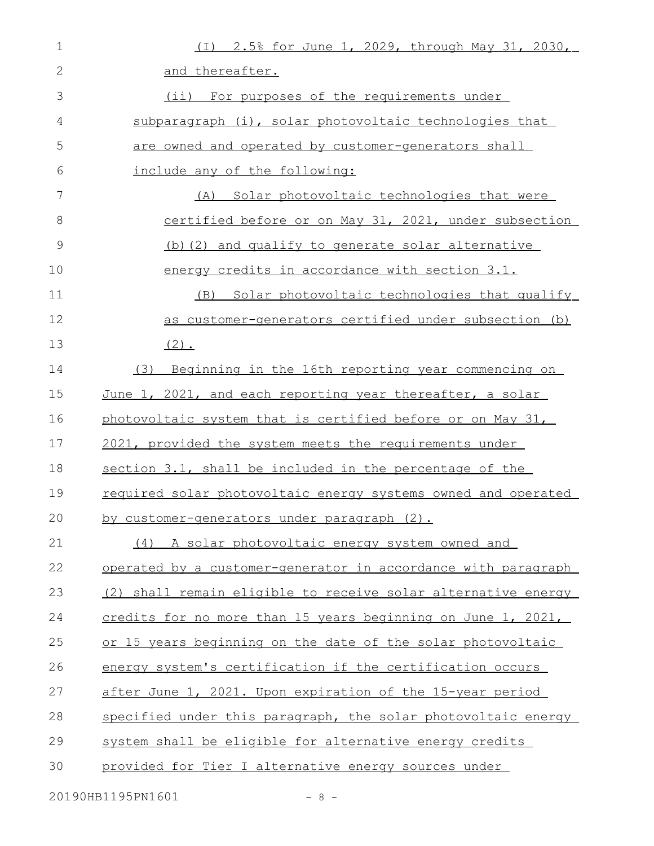| $\mathbf 1$  | (I) 2.5% for June 1, 2029, through May 31, 2030,              |
|--------------|---------------------------------------------------------------|
| $\mathbf{2}$ | and thereafter.                                               |
| 3            | (ii) For purposes of the requirements under                   |
| 4            | subparagraph (i), solar photovoltaic technologies that        |
| 5            | are owned and operated by customer-generators shall           |
| 6            | include any of the following:                                 |
| 7            | (A) Solar photovoltaic technologies that were                 |
| 8            | certified before or on May 31, 2021, under subsection         |
| 9            | (b) (2) and qualify to generate solar alternative             |
| 10           | energy credits in accordance with section 3.1.                |
| 11           | Solar photovoltaic technologies that qualify<br>(B)           |
| 12           | as customer-generators certified under subsection (b)         |
| 13           | $(2)$ .                                                       |
| 14           | Beginning in the 16th reporting year commencing on<br>(3)     |
| 15           | June 1, 2021, and each reporting year thereafter, a solar     |
| 16           | photovoltaic system that is certified before or on May 31,    |
| 17           | 2021, provided the system meets the requirements under        |
| 18           | section 3.1, shall be included in the percentage of the       |
| 19           | required solar photovoltaic energy systems owned and operated |
| 20           | by customer-generators under paragraph (2).                   |
| 21           | (4) A solar photovoltaic energy system owned and              |
| 22           | operated by a customer-generator in accordance with paragraph |
| 23           | (2) shall remain eligible to receive solar alternative energy |
| 24           | credits for no more than 15 years beginning on June 1, 2021,  |
| 25           | or 15 years beginning on the date of the solar photovoltaic   |
| 26           | energy system's certification if the certification occurs     |
| 27           | after June 1, 2021. Upon expiration of the 15-year period     |
| 28           | specified under this paragraph, the solar photovoltaic energy |
| 29           | system shall be eligible for alternative energy credits       |
| 30           | provided for Tier I alternative energy sources under          |
|              |                                                               |

20190HB1195PN1601 - 8 -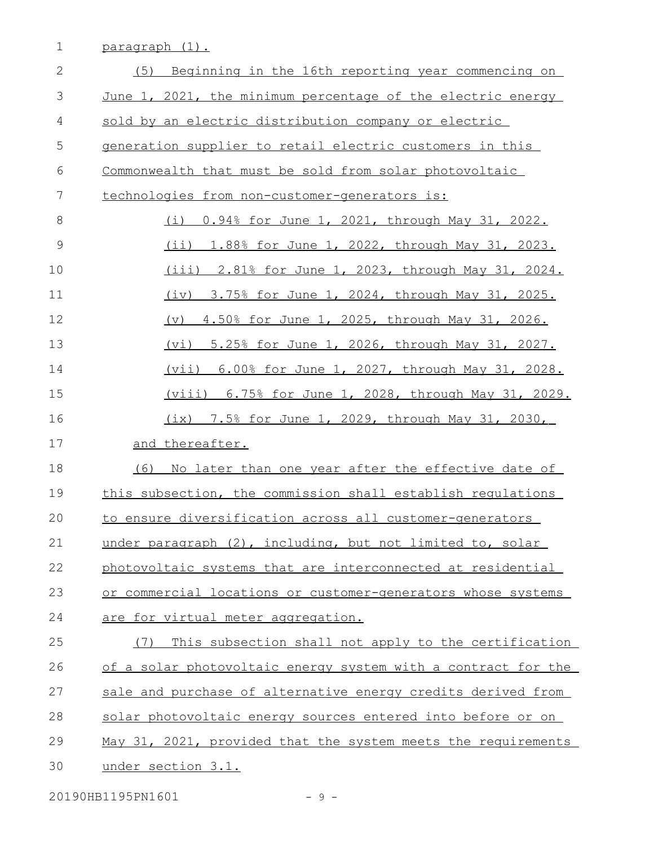1 **paragraph** (1).

| $\mathbf{2}$ | Beginning in the 16th reporting year commencing on<br>(5)          |
|--------------|--------------------------------------------------------------------|
| 3            | June 1, 2021, the minimum percentage of the electric energy        |
| 4            | sold by an electric distribution company or electric               |
| 5            | generation supplier to retail electric customers in this           |
| 6            | Commonwealth that must be sold from solar photovoltaic             |
| 7            | technologies from non-customer-generators is:                      |
| 8            | (i) 0.94% for June 1, 2021, through May 31, 2022.                  |
| 9            | (ii) 1.88% for June 1, 2022, through May 31, 2023.                 |
| 10           | (iii) 2.81% for June 1, 2023, through May 31, 2024.                |
| 11           | 3.75% for June 1, 2024, through May 31, 2025.<br>(iv)              |
| 12           | 4.50% for June 1, 2025, through May 31, 2026.<br>$(\triangledown)$ |
| 13           | <u>(vi) 5.25% for June 1, 2026, through May 31, 2027.</u>          |
| 14           | 6.00% for June 1, 2027, through May 31, 2028.<br>(vii)             |
| 15           | (viii) 6.75% for June 1, 2028, through May 31, 2029.               |
| 16           | (ix) 7.5% for June 1, 2029, through May 31, 2030,                  |
| 17           | and thereafter.                                                    |
| 18           | No later than one year after the effective date of<br>(6)          |
| 19           | this subsection, the commission shall establish regulations        |
| 20           | to ensure diversification across all customer-generators           |
| 21           | under paragraph (2), including, but not limited to, solar          |
| 22           | photovoltaic systems that are interconnected at residential        |
| 23           | or commercial locations or customer-generators whose systems       |
| 24           | are for virtual meter aggregation.                                 |
| 25           | This subsection shall not apply to the certification<br>(7)        |
| 26           | of a solar photovoltaic energy system with a contract for the      |
| 27           | sale and purchase of alternative energy credits derived from       |
| 28           | solar photovoltaic energy sources entered into before or on        |
| 29           | May 31, 2021, provided that the system meets the requirements      |
| 30           | under section 3.1.                                                 |
|              |                                                                    |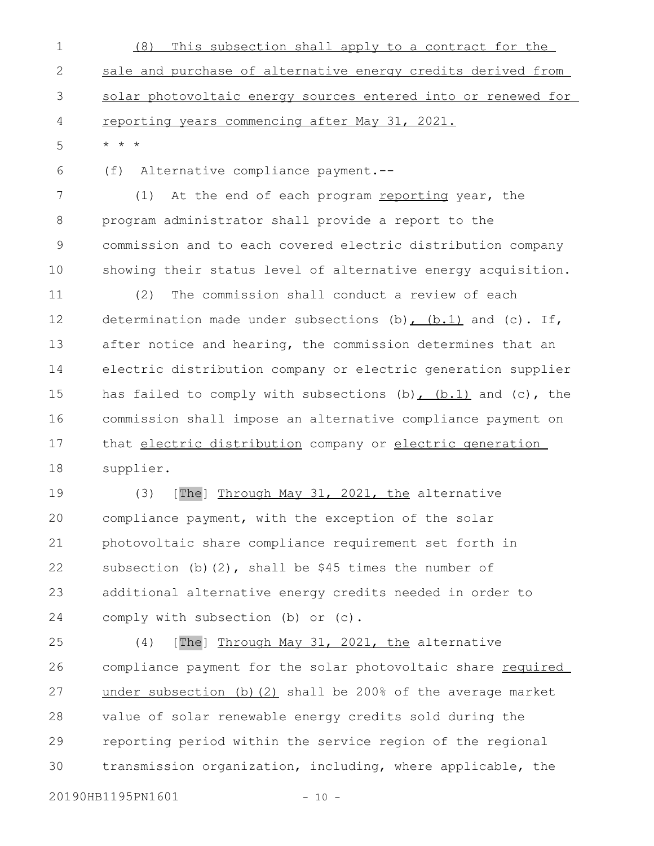(8) This subsection shall apply to a contract for the sale and purchase of alternative energy credits derived from solar photovoltaic energy sources entered into or renewed for reporting years commencing after May 31, 2021. 1 2 3 4

\* \* \* 5

(f) Alternative compliance payment.-- 6

(1) At the end of each program reporting year, the program administrator shall provide a report to the commission and to each covered electric distribution company showing their status level of alternative energy acquisition. 7 8 9 10

(2) The commission shall conduct a review of each determination made under subsections (b),  $(b.1)$  and (c). If, after notice and hearing, the commission determines that an electric distribution company or electric generation supplier has failed to comply with subsections  $(b)$ ,  $(b.1)$  and  $(c)$ , the commission shall impose an alternative compliance payment on that electric distribution company or electric generation supplier. 11 12 13 14 15 16 17 18

(3) [The] Through May 31, 2021, the alternative compliance payment, with the exception of the solar photovoltaic share compliance requirement set forth in subsection (b)(2), shall be \$45 times the number of additional alternative energy credits needed in order to comply with subsection (b) or (c). 19 20 21 22 23 24

(4) [The] Through May 31, 2021, the alternative compliance payment for the solar photovoltaic share required under subsection (b)(2) shall be 200% of the average market value of solar renewable energy credits sold during the reporting period within the service region of the regional transmission organization, including, where applicable, the 25 26 27 28 29 30

20190HB1195PN1601 - 10 -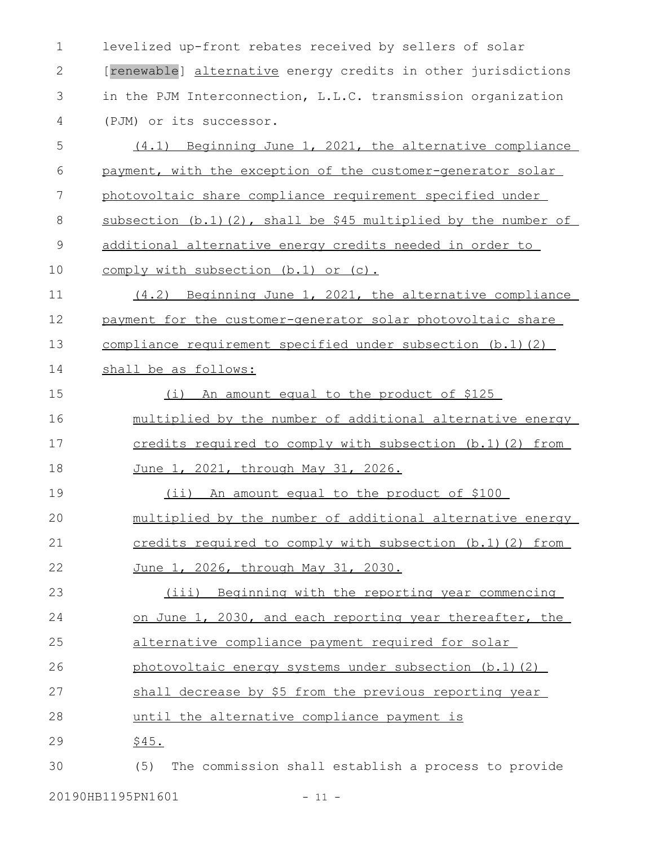levelized up-front rebates received by sellers of solar [renewable] alternative energy credits in other jurisdictions in the PJM Interconnection, L.L.C. transmission organization (PJM) or its successor. 1 2 3 4

 (4.1) Beginning June 1, 2021, the alternative compliance payment, with the exception of the customer-generator solar photovoltaic share compliance requirement specified under subsection (b.1)(2), shall be \$45 multiplied by the number of additional alternative energy credits needed in order to comply with subsection (b.1) or (c). (4.2) Beginning June 1, 2021, the alternative compliance payment for the customer-generator solar photovoltaic share 5 6 7 8 9 10 11 12

compliance requirement specified under subsection (b.1)(2) 13

shall be as follows: 14

(i) An amount equal to the product of \$125 multiplied by the number of additional alternative energy credits required to comply with subsection (b.1)(2) from June 1, 2021, through May 31, 2026. (ii) An amount equal to the product of \$100 15 16 17 18 19

multiplied by the number of additional alternative energy credits required to comply with subsection (b.1)(2) from June 1, 2026, through May 31, 2030. 20 21 22

- (iii) Beginning with the reporting year commencing 23
- on June 1, 2030, and each reporting year thereafter, the 24
- alternative compliance payment required for solar 25
- photovoltaic energy systems under subsection (b.1)(2) 26
- shall decrease by \$5 from the previous reporting year 27
- until the alternative compliance payment is 28
- \$45. 29

(5) The commission shall establish a process to provide 20190HB1195PN1601 - 11 -30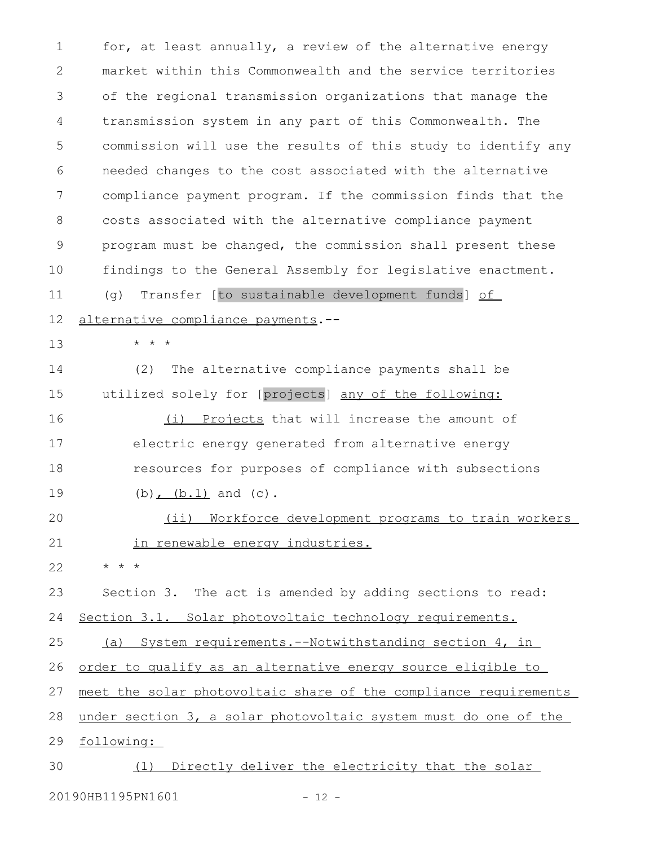for, at least annually, a review of the alternative energy market within this Commonwealth and the service territories of the regional transmission organizations that manage the transmission system in any part of this Commonwealth. The commission will use the results of this study to identify any needed changes to the cost associated with the alternative compliance payment program. If the commission finds that the costs associated with the alternative compliance payment program must be changed, the commission shall present these findings to the General Assembly for legislative enactment. (g) Transfer [to sustainable development funds] of alternative compliance payments.-- \* \* \* (2) The alternative compliance payments shall be utilized solely for [projects] any of the following: (i) Projects that will increase the amount of electric energy generated from alternative energy resources for purposes of compliance with subsections  $(b)$ ,  $(b.1)$  and  $(c)$ . (ii) Workforce development programs to train workers in renewable energy industries. \* \* \* Section 3. The act is amended by adding sections to read: Section 3.1. Solar photovoltaic technology requirements. (a) System requirements.--Notwithstanding section 4, in order to qualify as an alternative energy source eligible to meet the solar photovoltaic share of the compliance requirements under section 3, a solar photovoltaic system must do one of the following: (1) Directly deliver the electricity that the solar 1 2 3 4 5 6 7 8 9 10 11 12 13 14 15 16 17 18 19 20 21 22 23 24 25 26 27 28 29 30

20190HB1195PN1601 - 12 -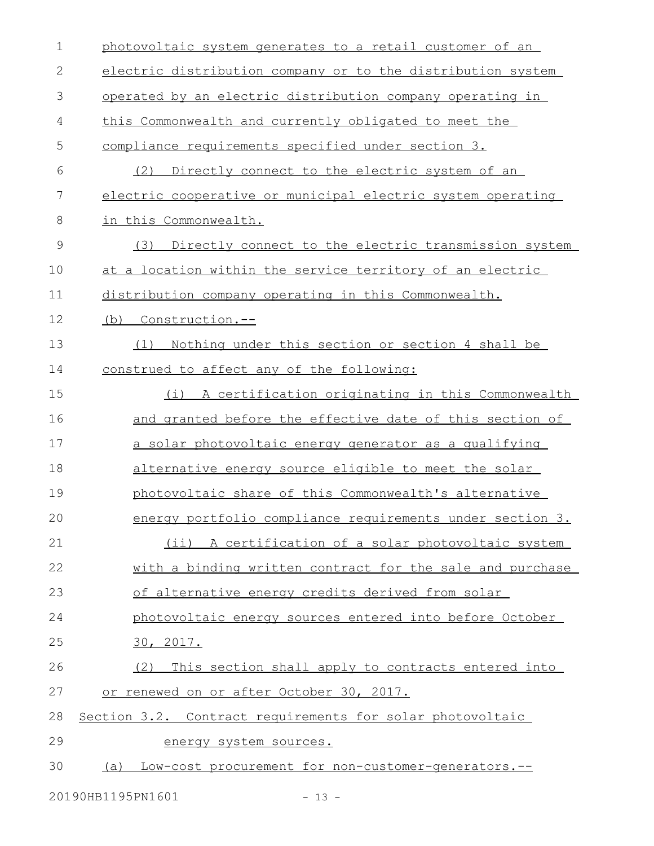| $\mathbf 1$   | photovoltaic system generates to a retail customer of an    |
|---------------|-------------------------------------------------------------|
| $\mathbf{2}$  | electric distribution company or to the distribution system |
| 3             | operated by an electric distribution company operating in   |
| 4             | this Commonwealth and currently obligated to meet the       |
| 5             | compliance requirements specified under section 3.          |
| 6             | Directly connect to the electric system of an<br>(2)        |
| 7             | electric cooperative or municipal electric system operating |
| $8\,$         | in this Commonwealth.                                       |
| $\mathcal{G}$ | Directly connect to the electric transmission system<br>(3) |
| 10            | at a location within the service territory of an electric   |
| 11            | distribution company operating in this Commonwealth.        |
| 12            | (b) Construction.--                                         |
| 13            | Nothing under this section or section 4 shall be<br>(1)     |
| 14            | construed to affect any of the following:                   |
| 15            | (i) A certification originating in this Commonwealth        |
| 16            | and granted before the effective date of this section of    |
| 17            | a solar photovoltaic energy generator as a qualifying       |
| 18            | alternative energy source eligible to meet the solar        |
| 19            | photovoltaic share of this Commonwealth's alternative       |
| 20            | energy portfolio compliance requirements under section 3.   |
| 21            | (ii) A certification of a solar photovoltaic system         |
| 22            | with a binding written contract for the sale and purchase   |
| 23            | of alternative energy credits derived from solar            |
| 24            | photovoltaic energy sources entered into before October     |
| 25            | 30, 2017.                                                   |
| 26            | This section shall apply to contracts entered into<br>(2)   |
| 27            | or renewed on or after October 30, 2017.                    |
| 28            | Section 3.2. Contract requirements for solar photovoltaic   |
| 29            | energy system sources.                                      |
| 30            | Low-cost procurement for non-customer-generators.--<br>(a)  |
|               |                                                             |

20190HB1195PN1601 - 13 -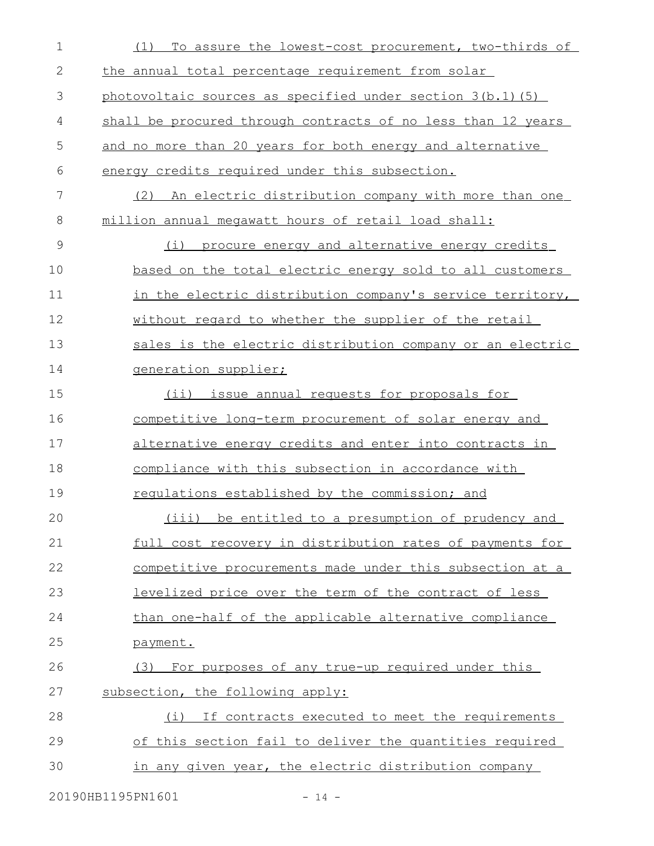| $\mathbf 1$ | To assure the lowest-cost procurement, two-thirds of<br>(1)     |
|-------------|-----------------------------------------------------------------|
| 2           | the annual total percentage requirement from solar              |
| 3           | photovoltaic sources as specified under section 3(b.1)(5)       |
| 4           | shall be procured through contracts of no less than 12 years    |
| 5           | and no more than 20 years for both energy and alternative       |
| 6           | energy credits required under this subsection.                  |
| 7           | (2) An electric distribution company with more than one         |
| 8           | million annual megawatt hours of retail load shall:             |
| 9           | (i)<br>procure energy and alternative energy credits            |
| 10          | based on the total electric energy sold to all customers        |
| 11          | in the electric distribution company's service territory,       |
| 12          | without regard to whether the supplier of the retail            |
| 13          | sales is the electric distribution company or an electric       |
| 14          | generation supplier;                                            |
| 15          | (ii) issue annual requests for proposals for                    |
| 16          | competitive long-term procurement of solar energy and           |
| 17          | alternative energy credits and enter into contracts in          |
| 18          | compliance with this subsection in accordance with              |
| 19          | requlations established by the commission; and                  |
| 20          | (iii) be entitled to a presumption of prudency and              |
| 21          | full cost recovery in distribution rates of payments for        |
| 22          | <u>competitive procurements made under this subsection at a</u> |
| 23          | levelized price over the term of the contract of less           |
| 24          | than one-half of the applicable alternative compliance          |
| 25          | payment.                                                        |
| 26          | (3) For purposes of any true-up required under this             |
| 27          | subsection, the following apply:                                |
| 28          | (i) If contracts executed to meet the requirements              |
| 29          | of this section fail to deliver the quantities required         |
| 30          | in any given year, the electric distribution company            |
|             |                                                                 |

20190HB1195PN1601 - 14 -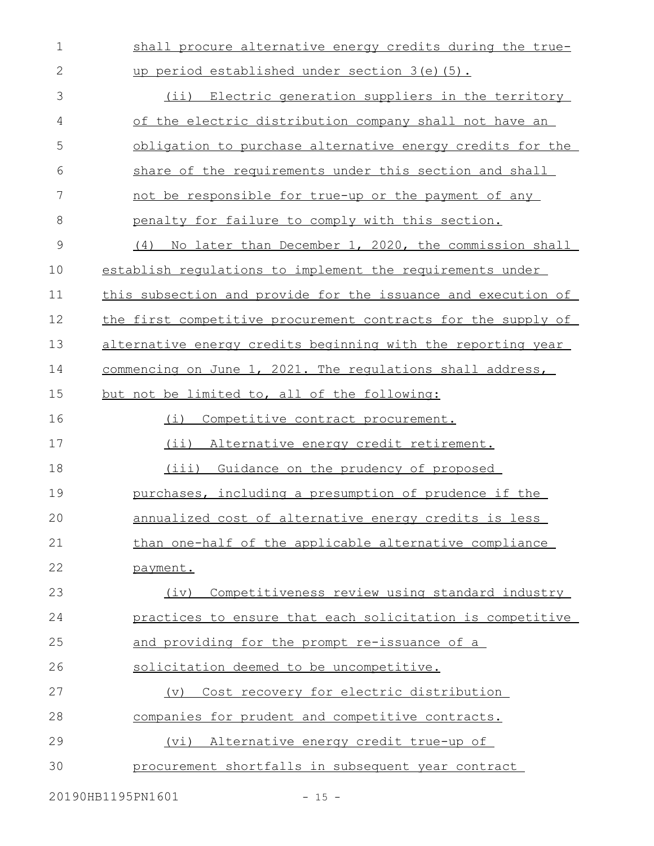shall procure alternative energy credits during the true-1

up period established under section 3(e)(5).

 (ii) Electric generation suppliers in the territory of the electric distribution company shall not have an obligation to purchase alternative energy credits for the share of the requirements under this section and shall not be responsible for true-up or the payment of any penalty for failure to comply with this section. (4) No later than December 1, 2020, the commission shall establish regulations to implement the requirements under this subsection and provide for the issuance and execution of the first competitive procurement contracts for the supply of alternative energy credits beginning with the reporting year commencing on June 1, 2021. The regulations shall address, but not be limited to, all of the following: (i) Competitive contract procurement. (ii) Alternative energy credit retirement. (iii) Guidance on the prudency of proposed purchases, including a presumption of prudence if the annualized cost of alternative energy credits is less than one-half of the applicable alternative compliance payment. (iv) Competitiveness review using standard industry practices to ensure that each solicitation is competitive and providing for the prompt re-issuance of a solicitation deemed to be uncompetitive. (v) Cost recovery for electric distribution companies for prudent and competitive contracts. (vi) Alternative energy credit true-up of procurement shortfalls in subsequent year contract 3 4 5 6 7 8 9 10 11 12 13 14 15 16 17 18 19 20 21 22 23 24 25 26 27 28 29 30

2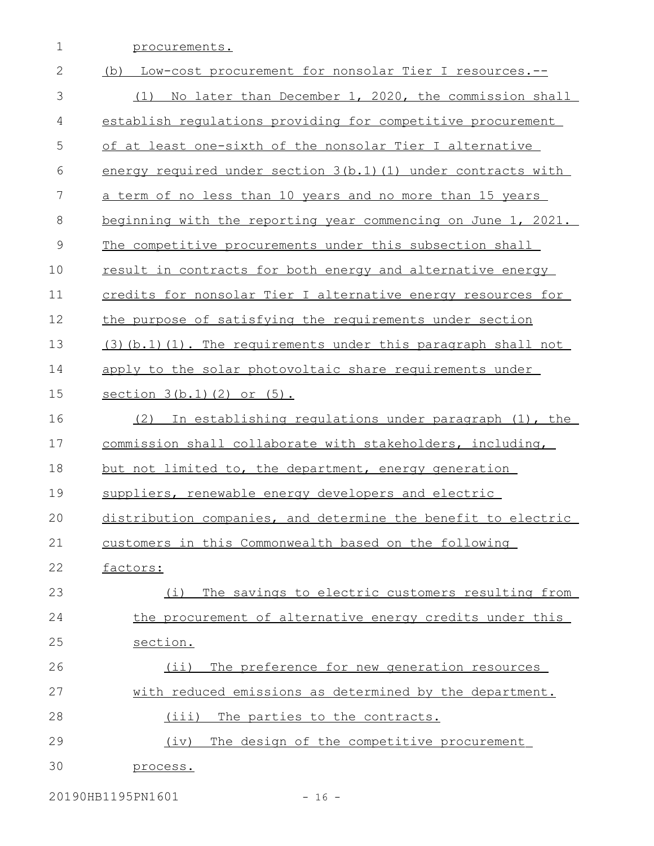| $\mathbf 1$  | procurements.                                                    |
|--------------|------------------------------------------------------------------|
| $\mathbf{2}$ | (b) Low-cost procurement for nonsolar Tier I resources.--        |
| 3            | (1) No later than December 1, 2020, the commission shall         |
| 4            | establish regulations providing for competitive procurement      |
| 5            | of at least one-sixth of the nonsolar Tier I alternative         |
| 6            | energy required under section $3(b.1)$ (1) under contracts with  |
| 7            | a term of no less than 10 years and no more than 15 years        |
| 8            | beginning with the reporting year commencing on June 1, 2021.    |
| 9            | The competitive procurements under this subsection shall         |
| 10           | result in contracts for both energy and alternative energy       |
| 11           | credits for nonsolar Tier I alternative energy resources for     |
| 12           | the purpose of satisfying the requirements under section         |
| 13           | $(3)$ (b.1) (1). The requirements under this paragraph shall not |
| 14           | apply to the solar photovoltaic share requirements under         |
| 15           | section 3(b.1)(2) or (5).                                        |
| 16           | In establishing regulations under paragraph (1), the<br>(2)      |
| 17           | commission shall collaborate with stakeholders, including,       |
| 18           | but not limited to, the department, energy generation            |
| 19           | suppliers, renewable energy developers and electric              |
| 20           | distribution companies, and determine the benefit to electric    |
| 21           | customers in this Commonwealth based on the following            |
| 22           | factors:                                                         |
| 23           | The savings to electric customers resulting from<br>(i)          |
| 24           | the procurement of alternative energy credits under this         |
| 25           | section.                                                         |
| 26           | The preference for new generation resources<br>$(i$ i)           |
| 27           | with reduced emissions as determined by the department.          |
| 28           | (iii)<br>The parties to the contracts.                           |
| 29           | The design of the competitive procurement<br>(iv)                |
| 30           | process.                                                         |

20190HB1195PN1601 - 16 -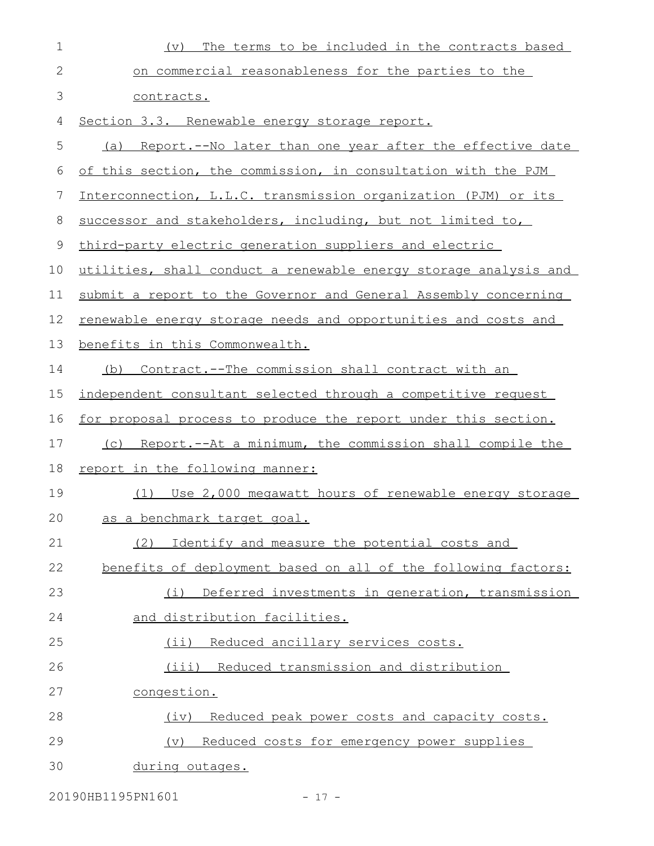| $\mathbf 1$ | The terms to be included in the contracts based<br>(v)           |
|-------------|------------------------------------------------------------------|
| 2           | on commercial reasonableness for the parties to the              |
| 3           | contracts.                                                       |
| 4           | Section 3.3. Renewable energy storage report.                    |
| 5           | (a) Report.--No later than one year after the effective date     |
| 6           | of this section, the commission, in consultation with the PJM    |
| 7           | Interconnection, L.L.C. transmission organization (PJM) or its   |
| 8           | successor and stakeholders, including, but not limited to,       |
| 9           | third-party electric generation suppliers and electric           |
| 10          | utilities, shall conduct a renewable energy storage analysis and |
| 11          | submit a report to the Governor and General Assembly concerning  |
| 12          | renewable energy storage needs and opportunities and costs and   |
| 13          | benefits in this Commonwealth.                                   |
| 14          | Contract.--The commission shall contract with an<br>(b)          |
| 15          | independent consultant selected through a competitive request    |
| 16          | for proposal process to produce the report under this section.   |
| 17          | (c) Report.--At a minimum, the commission shall compile the      |
| 18          | report in the following manner:                                  |
| 19          | Use 2,000 megawatt hours of renewable energy storage<br>(1)      |
| 20          | as a benchmark target goal.                                      |
| 21          | Identify and measure the potential costs and<br>(2)              |
| 22          | benefits of deployment based on all of the following factors:    |
| 23          | Deferred investments in generation, transmission<br>(i)          |
| 24          | and distribution facilities.                                     |
| 25          | (ii) Reduced ancillary services costs.                           |
| 26          | (iii) Reduced transmission and distribution                      |
| 27          | congestion.                                                      |
| 28          | (iv) Reduced peak power costs and capacity costs.                |
| 29          | Reduced costs for emergency power supplies<br>(v)                |
| 30          | during outages.                                                  |
|             |                                                                  |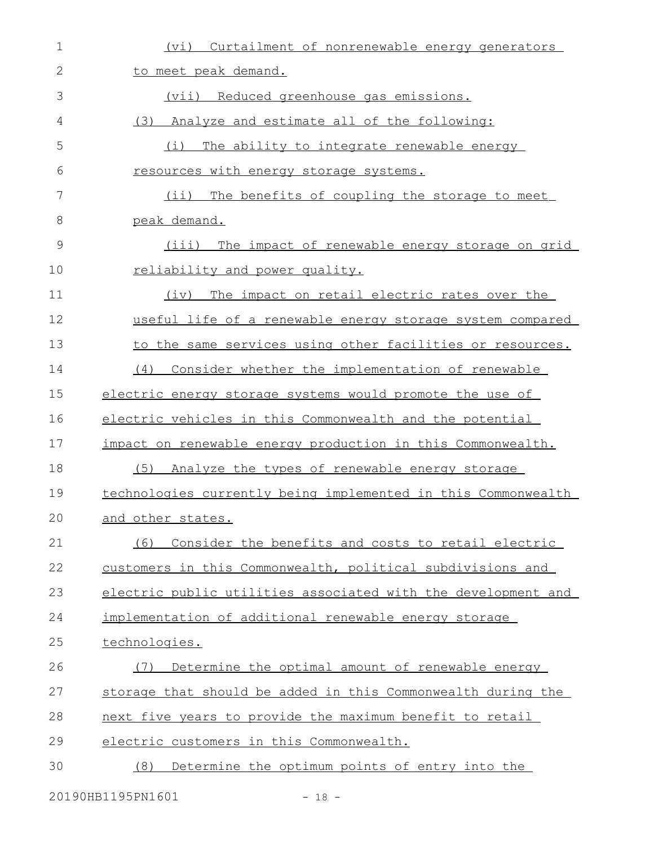| $\mathbf 1$   | (vi)<br>Curtailment of nonrenewable energy generators         |
|---------------|---------------------------------------------------------------|
| $\mathbf{2}$  | to meet peak demand.                                          |
| 3             | Reduced greenhouse gas emissions.<br>(vii)                    |
| 4             | (3) Analyze and estimate all of the following:                |
| 5             | (i)<br>The ability to integrate renewable energy              |
| 6             | resources with energy storage systems.                        |
| 7             | $(i$ i)<br>The benefits of coupling the storage to meet       |
| 8             | peak demand.                                                  |
| $\mathcal{G}$ | The impact of renewable energy storage on grid<br>(iii)       |
| 10            | reliability and power quality.                                |
| 11            | The impact on retail electric rates over the<br>(iv)          |
| 12            | useful life of a renewable energy storage system compared     |
| 13            | to the same services using other facilities or resources.     |
| 14            | Consider whether the implementation of renewable<br>(4)       |
| 15            | electric energy storage systems would promote the use of      |
| 16            | electric vehicles in this Commonwealth and the potential      |
| 17            | impact on renewable energy production in this Commonwealth.   |
| 18            | (5)<br>Analyze the types of renewable energy storage          |
| 19            | technologies currently being implemented in this Commonwealth |
| 20            | and other states.                                             |
| 21            | Consider the benefits and costs to retail electric<br>(6)     |
| 22            | customers in this Commonwealth, political subdivisions and    |
| 23            | electric public utilities associated with the development and |
| 24            | implementation of additional renewable energy storage         |
| 25            | technologies.                                                 |
| 26            | Determine the optimal amount of renewable energy<br>(7)       |
| 27            | storage that should be added in this Commonwealth during the  |
| 28            | next five years to provide the maximum benefit to retail      |
| 29            | electric customers in this Commonwealth.                      |
| 30            | Determine the optimum points of entry into the<br>(8)         |

20190HB1195PN1601 - 18 -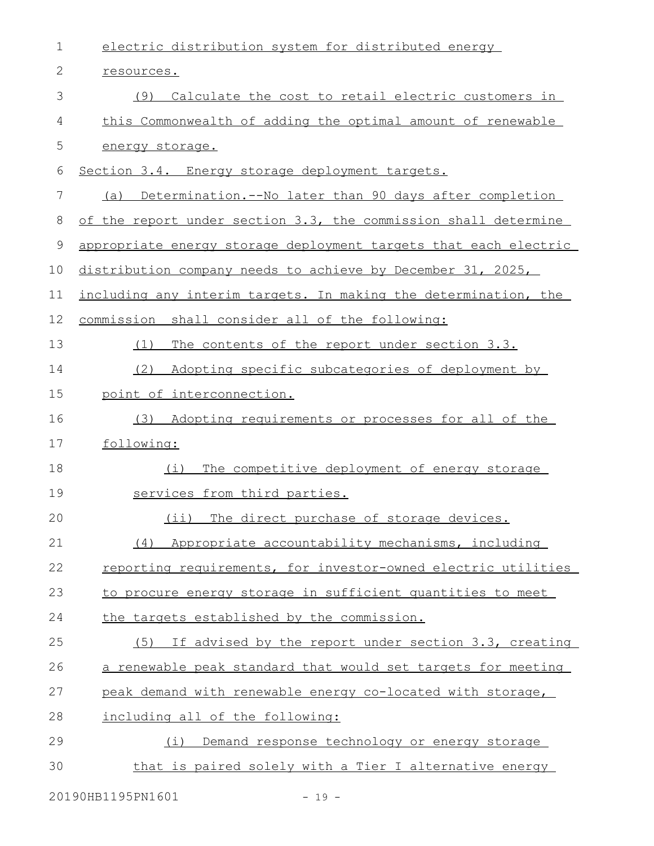| $\mathbf 1$ | electric distribution system for distributed energy              |
|-------------|------------------------------------------------------------------|
| 2           | resources.                                                       |
| 3           | Calculate the cost to retail electric customers in<br>(9)        |
| 4           | this Commonwealth of adding the optimal amount of renewable      |
| 5           | energy storage.                                                  |
| 6           | Section 3.4. Energy storage deployment targets.                  |
| 7           | Determination.--No later than 90 days after completion<br>(a)    |
| 8           | of the report under section 3.3, the commission shall determine  |
| 9           | appropriate energy storage deployment targets that each electric |
| 10          | distribution company needs to achieve by December 31, 2025,      |
| 11          | including any interim targets. In making the determination, the  |
| 12          | commission shall consider all of the following:                  |
| 13          | The contents of the report under section 3.3.<br>(1)             |
| 14          | (2)<br>Adopting specific subcategories of deployment by          |
| 15          | point of interconnection.                                        |
| 16          | (3) Adopting requirements or processes for all of the            |
| 17          | following:                                                       |
| 18          | The competitive deployment of energy storage<br>(i)              |
| 19          | services from third parties.                                     |
| 20          | The direct purchase of storage devices.<br>(i)                   |
| 21          | Appropriate accountability mechanisms, including<br>(4)          |
| 22          | reporting requirements, for investor-owned electric utilities    |
| 23          | to procure energy storage in sufficient quantities to meet       |
| 24          | the targets established by the commission.                       |
| 25          | (5) If advised by the report under section 3.3, creating         |
| 26          | a renewable peak standard that would set targets for meeting     |
| 27          | peak demand with renewable energy co-located with storage,       |
| 28          | including all of the following:                                  |
| 29          | Demand response technology or energy storage<br>(i)              |
| 30          | that is paired solely with a Tier I alternative energy           |
|             |                                                                  |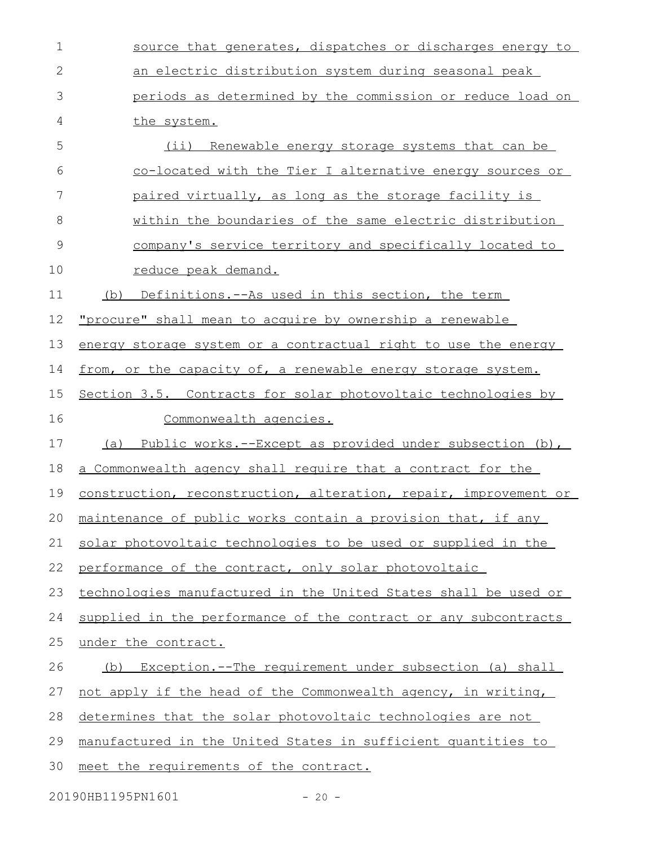| $\mathbf 1$  | source that generates, dispatches or discharges energy to        |
|--------------|------------------------------------------------------------------|
| $\mathbf{2}$ | an electric distribution system during seasonal peak             |
| 3            | periods as determined by the commission or reduce load on        |
| 4            | the system.                                                      |
| 5            | $(i$ i)<br>Renewable energy storage systems that can be          |
| 6            | co-located with the Tier I alternative energy sources or         |
| 7            | paired virtually, as long as the storage facility is             |
| 8            | within the boundaries of the same electric distribution          |
| 9            | company's service territory and specifically located to          |
| 10           | reduce peak demand.                                              |
| 11           | Definitions.--As used in this section, the term<br>(b)           |
| 12           | <u>"procure" shall mean to acquire by ownership a renewable</u>  |
| 13           | energy storage system or a contractual right to use the energy   |
| 14           | from, or the capacity of, a renewable energy storage system.     |
| 15           | Section 3.5. Contracts for solar photovoltaic technologies by    |
|              |                                                                  |
| 16           | Commonwealth agencies.                                           |
| 17           | (a) Public works.--Except as provided under subsection (b),      |
| 18           | a Commonwealth agency shall require that a contract for the      |
| 19           | construction, reconstruction, alteration, repair, improvement or |
|              | 20 maintenance of public works contain a provision that, if any  |
| 21           | solar photovoltaic technologies to be used or supplied in the    |
| 22           | performance of the contract, only solar photovoltaic             |
| 23           | technologies manufactured in the United States shall be used or  |
| 24           | supplied in the performance of the contract or any subcontracts  |
| 25           | under the contract.                                              |
| 26           | Exception.--The requirement under subsection (a) shall<br>(b)    |
| 27           | not apply if the head of the Commonwealth agency, in writing,    |
| 28           | determines that the solar photovoltaic technologies are not      |
| 29           | manufactured in the United States in sufficient quantities to    |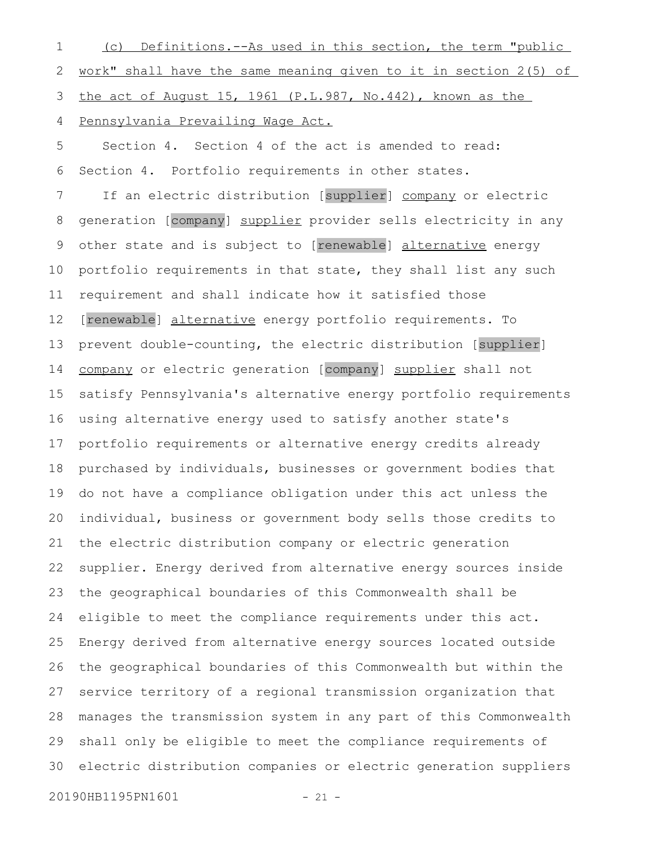(c) Definitions.--As used in this section, the term "public 1

work" shall have the same meaning given to it in section 2(5) of 2

the act of August 15, 1961 (P.L.987, No.442), known as the 3

Pennsylvania Prevailing Wage Act. 4

Section 4. Section 4 of the act is amended to read: Section 4. Portfolio requirements in other states. 5 6

If an electric distribution [supplier] company or electric generation [company] supplier provider sells electricity in any other state and is subject to [renewable] alternative energy portfolio requirements in that state, they shall list any such requirement and shall indicate how it satisfied those [renewable] alternative energy portfolio requirements. To prevent double-counting, the electric distribution [supplier] company or electric generation [company] supplier shall not satisfy Pennsylvania's alternative energy portfolio requirements using alternative energy used to satisfy another state's portfolio requirements or alternative energy credits already purchased by individuals, businesses or government bodies that do not have a compliance obligation under this act unless the individual, business or government body sells those credits to the electric distribution company or electric generation supplier. Energy derived from alternative energy sources inside the geographical boundaries of this Commonwealth shall be eligible to meet the compliance requirements under this act. Energy derived from alternative energy sources located outside the geographical boundaries of this Commonwealth but within the service territory of a regional transmission organization that manages the transmission system in any part of this Commonwealth shall only be eligible to meet the compliance requirements of electric distribution companies or electric generation suppliers 7 8 9 10 11 12 13 14 15 16 17 18 19 20 21 22 23 24 25 26 27 28 29 30

20190HB1195PN1601 - 21 -